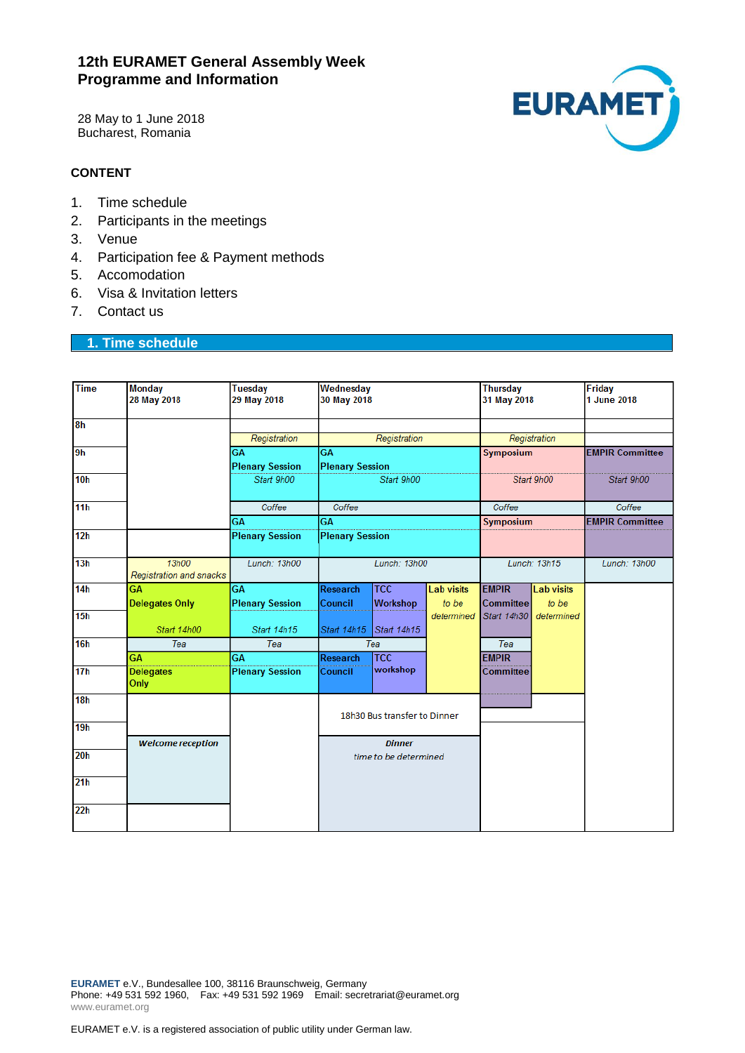# **12th EURAMET General Assembly Week Programme and Information**

28 May to 1 June 2018 Bucharest, Romania



## **CONTENT**

- 1. Time schedule
- 2. Participants in the meetings
- 3. Venue
- 4. Participation fee & Payment methods
- 5. Accomodation
- 6. Visa & Invitation letters
- 7. Contact us

# **1. Time schedule**

| <b>Time</b>     | <b>Monday</b><br>28 May 2018     | <b>Tuesday</b><br>29 May 2018 | Wednesday<br>30 May 2018     |             |                   | <b>Thursday</b><br>31 May 2018 |                   | <b>Friday</b><br>1 June 2018 |
|-----------------|----------------------------------|-------------------------------|------------------------------|-------------|-------------------|--------------------------------|-------------------|------------------------------|
| 8 <sub>h</sub>  |                                  |                               |                              |             |                   |                                |                   |                              |
|                 |                                  | Registration                  | Registration                 |             |                   | Registration                   |                   |                              |
| 9h              |                                  | <b>GA</b>                     | GA                           |             |                   | Symposium                      |                   | <b>EMPIR Committee</b>       |
|                 |                                  | <b>Plenary Session</b>        | <b>Plenary Session</b>       |             |                   |                                |                   |                              |
| 10 <sub>h</sub> |                                  | Start 9h00                    | Start 9h00                   |             |                   | Start 9h00                     |                   | Start 9h00                   |
| 11 <sub>h</sub> |                                  | Coffee                        | Coffee                       |             |                   | Coffee                         |                   | Coffee                       |
|                 |                                  | GA                            | <b>GA</b>                    |             |                   | Symposium                      |                   | <b>EMPIR Committee</b>       |
| 12 <sub>h</sub> |                                  | <b>Plenary Session</b>        | <b>Plenary Session</b>       |             |                   |                                |                   |                              |
| 13h             | 13h00<br>Registration and snacks | Lunch: 13h00                  | Lunch: 13h00                 |             |                   | Lunch: 13h15                   |                   | Lunch: 13h00                 |
| 14 <sub>h</sub> | GA                               | <b>GA</b>                     | <b>Research</b>              | <b>TCC</b>  | <b>Lab visits</b> | <b>EMPIR</b>                   | <b>Lab visits</b> |                              |
|                 | <b>Delegates Only</b>            | <b>Plenary Session</b>        | Council                      | Workshop    | to be             | <b>Committee</b>               | to be             |                              |
| 15 <sub>h</sub> |                                  |                               |                              |             | determined        | Start 14h30                    | determined        |                              |
|                 | Start 14h00                      | Start 14h15                   | Start 14h15                  | Start 14h15 |                   |                                |                   |                              |
| 16h             | Tea                              | Tea                           | Tea                          |             |                   | Tea                            |                   |                              |
|                 | <b>GA</b>                        | <b>GA</b>                     | <b>Research</b>              | <b>TCC</b>  |                   | <b>EMPIR</b>                   |                   |                              |
| 17 <sub>h</sub> | <b>Delegates</b><br>Only         | <b>Plenary Session</b>        | Council                      | workshop    |                   | <b>Committee</b>               |                   |                              |
| 18h             |                                  |                               |                              |             |                   |                                |                   |                              |
|                 |                                  |                               | 18h30 Bus transfer to Dinner |             |                   |                                |                   |                              |
| 19h             |                                  |                               |                              |             |                   |                                |                   |                              |
| 20 <sub>h</sub> | <b>Welcome reception</b>         |                               | <b>Dinner</b>                |             |                   |                                |                   |                              |
|                 |                                  |                               | time to be determined        |             |                   |                                |                   |                              |
| 21 <sub>h</sub> |                                  |                               |                              |             |                   |                                |                   |                              |
| 22h             |                                  |                               |                              |             |                   |                                |                   |                              |

**EURAMET** e.V., Bundesallee 100, 38116 Braunschweig, Germany Phone: +49 531 592 1960, Fax: +49 531 592 1969 Email: secretrariat@euramet.org www.euramet.org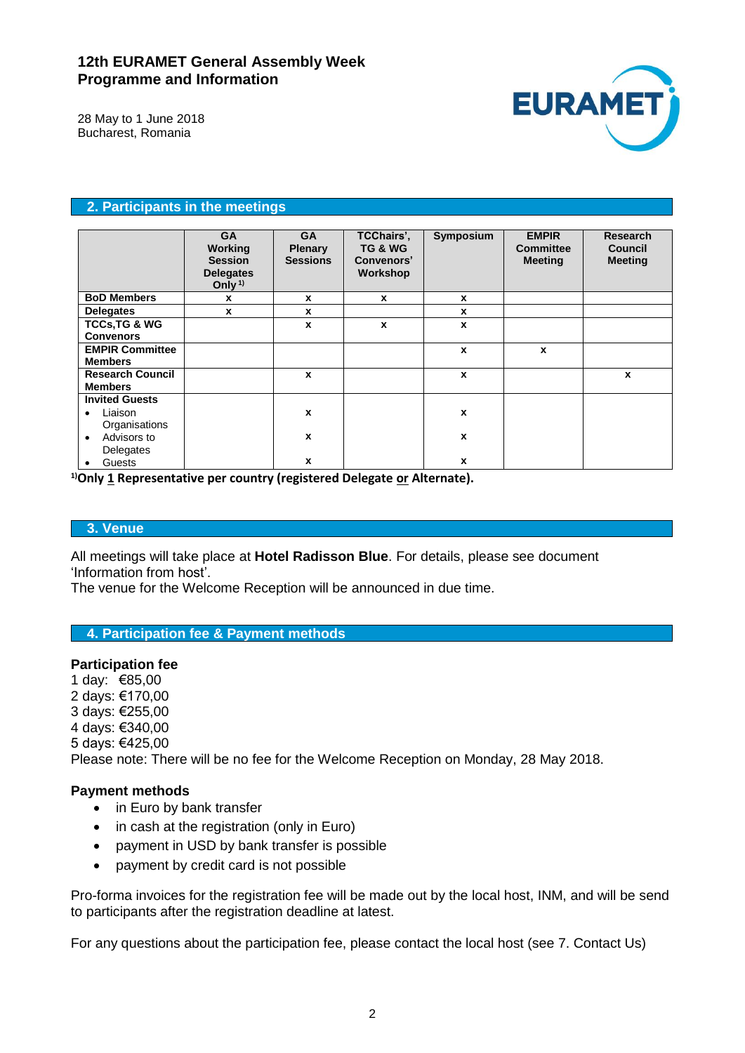# **12th EURAMET General Assembly Week Programme and Information**



28 May to 1 June 2018 Bucharest, Romania

## **2. Participants in the meetings**

|                                              | <b>GA</b><br>Working<br><b>Session</b><br><b>Delegates</b><br>Only <sup>1)</sup> | <b>GA</b><br><b>Plenary</b><br><b>Sessions</b> | TCChairs',<br>TG & WG<br>Convenors'<br>Workshop | Symposium        | <b>EMPIR</b><br><b>Committee</b><br><b>Meeting</b> | <b>Research</b><br><b>Council</b><br><b>Meeting</b> |
|----------------------------------------------|----------------------------------------------------------------------------------|------------------------------------------------|-------------------------------------------------|------------------|----------------------------------------------------|-----------------------------------------------------|
| <b>BoD Members</b>                           | x                                                                                | x                                              | X                                               | X                |                                                    |                                                     |
| <b>Delegates</b>                             | $\mathbf{x}$                                                                     | x                                              |                                                 | X                |                                                    |                                                     |
| <b>TCCs, TG &amp; WG</b><br><b>Convenors</b> |                                                                                  | X                                              | $\mathbf{x}$                                    | X                |                                                    |                                                     |
| <b>EMPIR Committee</b><br><b>Members</b>     |                                                                                  |                                                |                                                 | X                | $\mathbf{x}$                                       |                                                     |
| <b>Research Council</b><br><b>Members</b>    |                                                                                  | X                                              |                                                 | X                |                                                    | X                                                   |
| <b>Invited Guests</b>                        |                                                                                  |                                                |                                                 |                  |                                                    |                                                     |
| Liaison<br>$\bullet$<br>Organisations        |                                                                                  | X                                              |                                                 | $\boldsymbol{x}$ |                                                    |                                                     |
| Advisors to<br>$\bullet$<br>Delegates        |                                                                                  | x                                              |                                                 | X                |                                                    |                                                     |
| Guests                                       |                                                                                  | x                                              |                                                 | X                |                                                    |                                                     |

**1)Only 1 Representative per country (registered Delegate or Alternate).**

## **3. Venue**

All meetings will take place at **Hotel Radisson Blue**. For details, please see document 'Information from host'.

The venue for the Welcome Reception will be announced in due time.

#### **4. Participation fee & Payment methods**

### **Participation fee**

1 day: €85,00 2 days: €170,00 3 days: €255,00 4 days: €340,00 5 days: €425,00 Please note: There will be no fee for the Welcome Reception on Monday, 28 May 2018.

### **Payment methods**

- in Euro by bank transfer
- in cash at the registration (only in Euro)
- payment in USD by bank transfer is possible
- payment by credit card is not possible

Pro-forma invoices for the registration fee will be made out by the local host, INM, and will be send to participants after the registration deadline at latest.

For any questions about the participation fee, please contact the local host (see 7. Contact Us)